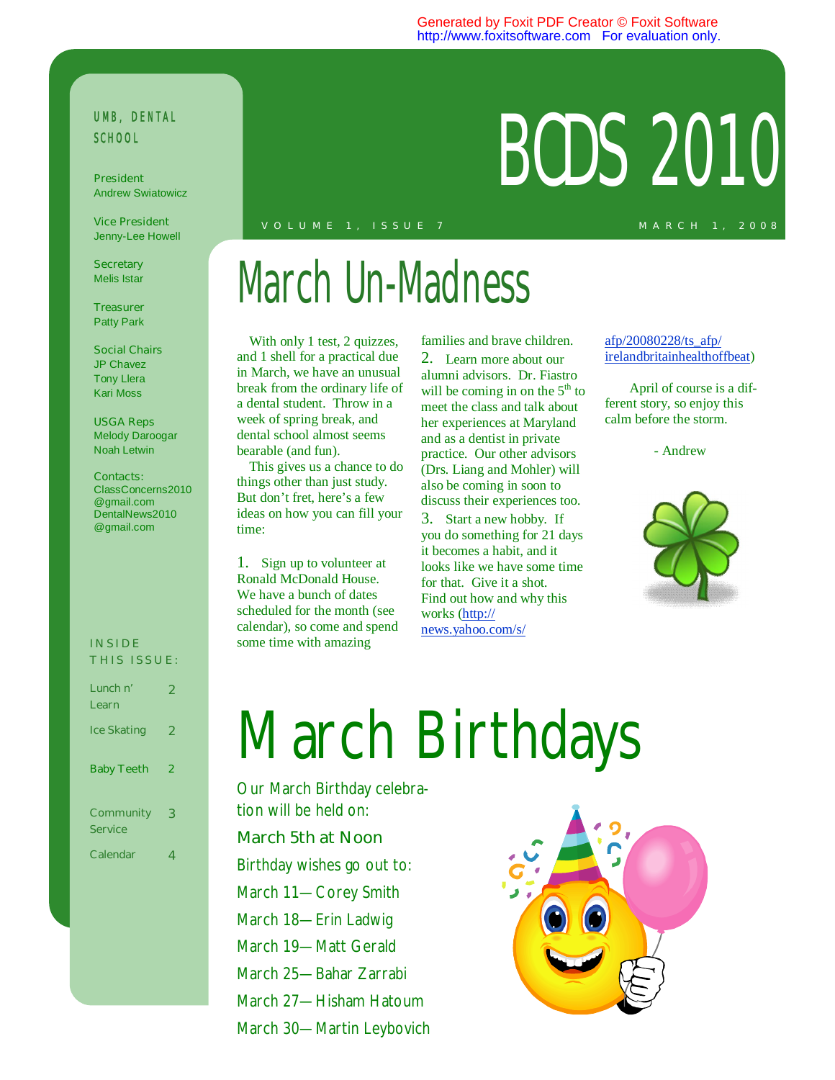#### Generated by Foxit PDF Creator © Foxit Software http://www.foxitsoftware.com For evaluation only.

### UMB, DENTAL SCHOOL President **RODS 2010**

**President**  Andrew Swiatowicz

**Vice President**  Jenny-Lee Howell

**Secretary**  Melis Istar

**Treasurer**  Patty Park

**Social Chairs**  JP Chavez Tony Llera Kari Moss

**USGA Reps**  Melody Daroogar Noah Letwin

#### **Contacts:**

ClassConcerns2010 @gmail.com DentalNews2010 @gmail.com

#### **I N S I D E THIS ISSUE:**

| Lunch n'<br>Learn                  | 2 |
|------------------------------------|---|
| <b>Ice Skating</b>                 | 2 |
| <b>Baby Teeth</b>                  | 2 |
| <b>Community</b><br><b>Service</b> | 3 |
| <b>Calendar</b>                    | 4 |

#### **M A R C H 1 , 2 0 0 8 V O L U M E 1 , I S S U E 7**

## March Un-Madness

With only 1 test, 2 quizzes, and 1 shell for a practical due in March, we have an unusual break from the ordinary life of a dental student. Throw in a week of spring break, and dental school almost seems bearable (and fun).

This gives us a chance to do things other than just study. But don't fret, here's a few ideas on how you can fill your time:

1. Sign up to volunteer at Ronald McDonald House. We have a bunch of dates scheduled for the month (see calendar), so come and spend some time with amazing

families and brave children. 2. Learn more about our alumni advisors. Dr. Fiastro will be coming in on the  $5<sup>th</sup>$  to meet the class and talk about her experiences at Maryland and as a dentist in private practice. Our other advisors (Drs. Liang and Mohler) will also be coming in soon to discuss their experiences too.

3. Start a new hobby. If you do something for 21 days it becomes a habit, and it looks like we have some time for that. Give it a shot. Find out how and why this works (http:// news.yahoo.com/s/

afp/20080228/ts\_afp/ irelandbritainhealthoffbeat)

April of course is a different story, so enjoy this calm before the storm.

- Andrew



# March Birthdays

Our March Birthday celebration will be held on:

#### **March 5th at Noon**

Birthday wishes go out to: March 11—Corey Smith March 18—Erin Ladwig March 19—Matt Gerald March 25—Bahar Zarrabi March 27—Hisham Hatoum

March 30—Martin Leybovich

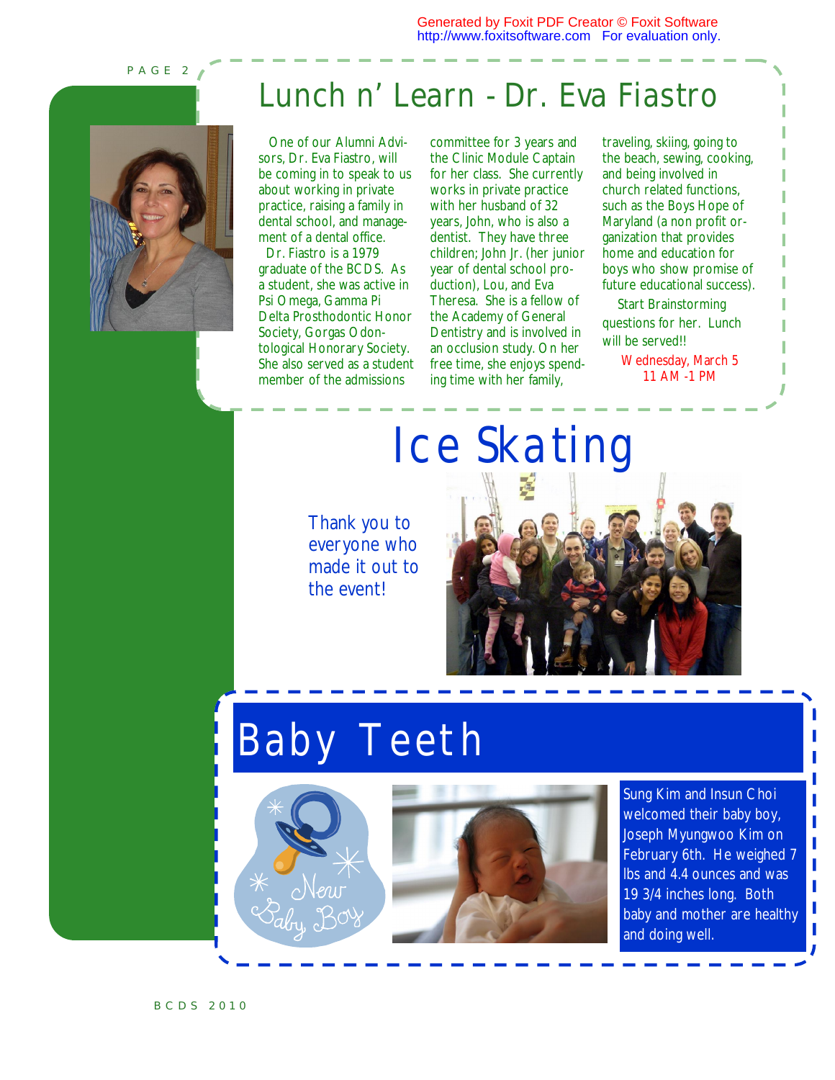Generated by Foxit PDF Creator © Foxit Software http://www.foxitsoftware.com For evaluation only.

**P A G E 2** 



### **Lunch n' Learn - Dr. Eva Fiastro**

 One of our Alumni Advisors, Dr. Eva Fiastro, will be coming in to speak to us about working in private practice, raising a family in dental school, and management of a dental office.

 Dr. Fiastro is a 1979 graduate of the BCDS. As a student, she was active in Psi Omega, Gamma Pi Delta Prosthodontic Honor Society, Gorgas Odontological Honorary Society. She also served as a student member of the admissions

committee for 3 years and the Clinic Module Captain for her class. She currently works in private practice with her husband of 32 years, John, who is also a dentist. They have three children; John Jr. (her junior year of dental school production), Lou, and Eva Theresa. She is a fellow of the Academy of General Dentistry and is involved in an occlusion study. On her free time, she enjoys spending time with her family,

traveling, skiing, going to the beach, sewing, cooking, and being involved in church related functions, such as the Boys Hope of Maryland (a non profit organization that provides home and education for boys who show promise of future educational success).

 Start Brainstorming questions for her. Lunch will be served!!

> Wednesday, March 5 11 AM -1 PM

### Ice Skating

Thank you to everyone who made it out to the event!

### **Baby Teeth**





Sung Kim and Insun Choi welcomed their baby boy, Joseph Myungwoo Kim on February 6th. He weighed 7 lbs and 4.4 ounces and was 19 3/4 inches long. Both baby and mother are healthy and doing well.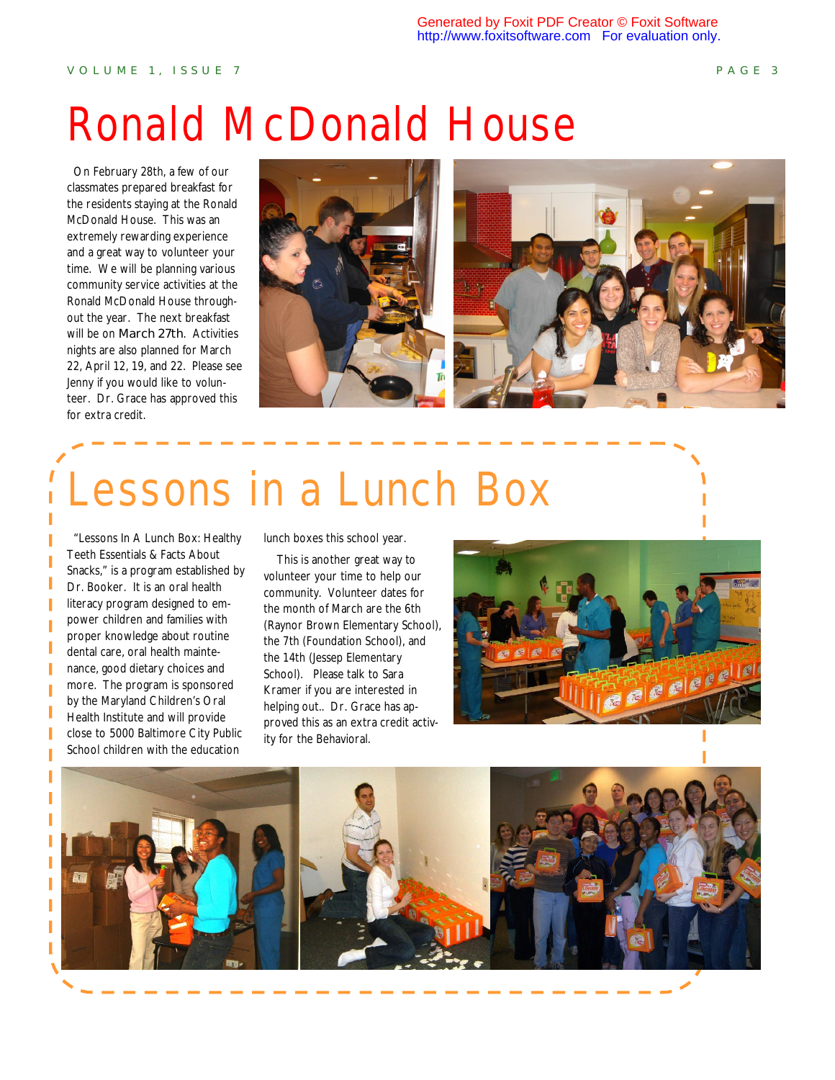### Ronald McDonald House

 On February 28th, a few of our classmates prepared breakfast for the residents staying at the Ronald McDonald House. This was an extremely rewarding experience and a great way to volunteer your time. We will be planning various community service activities at the Ronald McDonald House throughout the year. The next breakfast will be on **March 27th**. Activities nights are also planned for March 22, April 12, 19, and 22. Please see Jenny if you would like to volunteer. Dr. Grace has approved this for extra credit.



## Lessons in a Lunch Box

 "Lessons In A Lunch Box: Healthy Teeth Essentials & Facts About Snacks," is a program established by Dr. Booker. It is an oral health literacy program designed to empower children and families with proper knowledge about routine dental care, oral health maintenance, good dietary choices and more. The program is sponsored by the Maryland Children's Oral Health Institute and will provide close to 5000 Baltimore City Public School children with the education

lunch boxes this school year.

 This is another great way to volunteer your time to help our community. Volunteer dates for the month of March are the 6th (Raynor Brown Elementary School), the 7th (Foundation School), and the 14th (Jessep Elementary School). Please talk to Sara Kramer if you are interested in helping out.. Dr. Grace has approved this as an extra credit activity for the Behavioral.